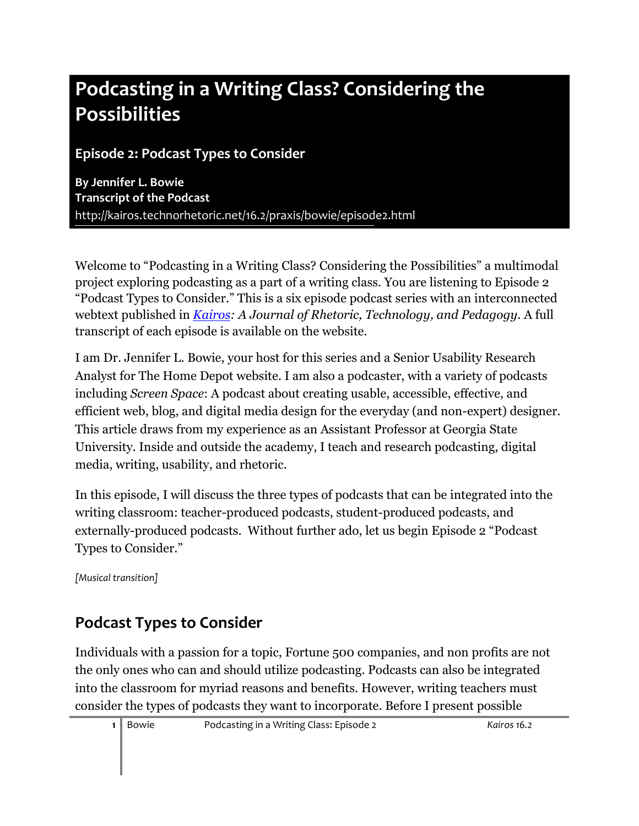# **Podcasting in a Writing Class? Considering the Possibilities**

**Episode 2: Podcast Types to Consider**

**By Jennifer L. Bowie Transcript of the Podcast** [http://kairos.technorhetoric.net/16.2/praxis/bowie/](http://kairos.technorhetoric.net/16.2/praxis/bowie/2.html)episode2.html

Welcome to "Podcasting in a Writing Class? Considering the Possibilities" a multimodal project exploring podcasting as a part of a writing class. You are listening to Episode 2 "Podcast Types to Consider." This is a six episode podcast series with an interconnected webtext published in *[Kairos:](http://kairos.technorhetoric.net/) A Journal of Rhetoric, Technology, and Pedagogy*. A full transcript of each episode is available on the website.

I am Dr. Jennifer L. Bowie, your host for this series and a Senior Usability Research Analyst for The Home Depot website. I am also a podcaster, with a variety of podcasts including *Screen Space*: A podcast about creating usable, accessible, effective, and efficient web, blog, and digital media design for the everyday (and non-expert) designer. This article draws from my experience as an Assistant Professor at Georgia State University. Inside and outside the academy, I teach and research podcasting, digital media, writing, usability, and rhetoric.

In this episode, I will discuss the three types of podcasts that can be integrated into the writing classroom: teacher-produced podcasts, student-produced podcasts, and externally-produced podcasts. Without further ado, let us begin Episode 2 "Podcast Types to Consider."

*[Musical transition]* 

# **Podcast Types to Consider**

Individuals with a passion for a topic, Fortune 500 companies, and non profits are not the only ones who can and should utilize podcasting. Podcasts can also be integrated into the classroom for myriad reasons and benefits. However, writing teachers must consider the types of podcasts they want to incorporate. Before I present possible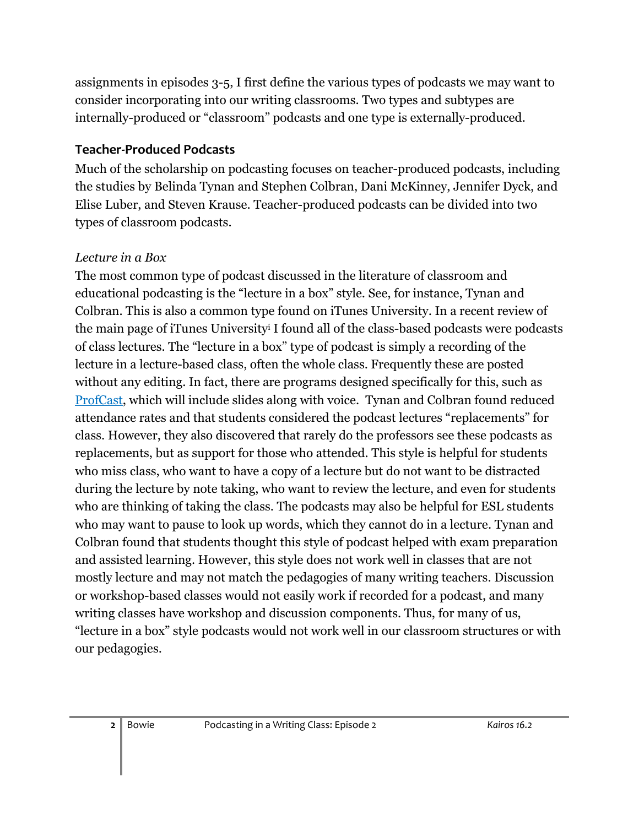assignments in episodes 3-5, I first define the various types of podcasts we may want to consider incorporating into our writing classrooms. Two types and subtypes are internally-produced or "classroom" podcasts and one type is externally-produced.

### **Teacher-Produced Podcasts**

Much of the scholarship on podcasting focuses on teacher-produced podcasts, including the studies by Belinda Tynan and Stephen Colbran, Dani McKinney, Jennifer Dyck, and Elise Luber, and Steven Krause. Teacher-produced podcasts can be divided into two types of classroom podcasts.

#### *Lecture in a Box*

The most common type of podcast discussed in the literature of classroom and educational podcasting is the "lecture in a box" style. See, for instance, Tynan and Colbran. This is also a common type found on iTunes University. In a recent review of the main page of iTunes University<sup>i</sup> I found all of the class-based podcasts were podcasts of class lectures. The "lecture in a box" type of podcast is simply a recording of the lecture in a lecture-based class, often the whole class. Frequently these are posted without any editing. In fact, there are programs designed specifically for this, such as [ProfCast,](http://www.profcast.com/public/index.php) which will include slides along with voice. Tynan and Colbran found reduced attendance rates and that students considered the podcast lectures "replacements" for class. However, they also discovered that rarely do the professors see these podcasts as replacements, but as support for those who attended. This style is helpful for students who miss class, who want to have a copy of a lecture but do not want to be distracted during the lecture by note taking, who want to review the lecture, and even for students who are thinking of taking the class. The podcasts may also be helpful for ESL students who may want to pause to look up words, which they cannot do in a lecture. Tynan and Colbran found that students thought this style of podcast helped with exam preparation and assisted learning. However, this style does not work well in classes that are not mostly lecture and may not match the pedagogies of many writing teachers. Discussion or workshop-based classes would not easily work if recorded for a podcast, and many writing classes have workshop and discussion components. Thus, for many of us, "lecture in a box" style podcasts would not work well in our classroom structures or with our pedagogies.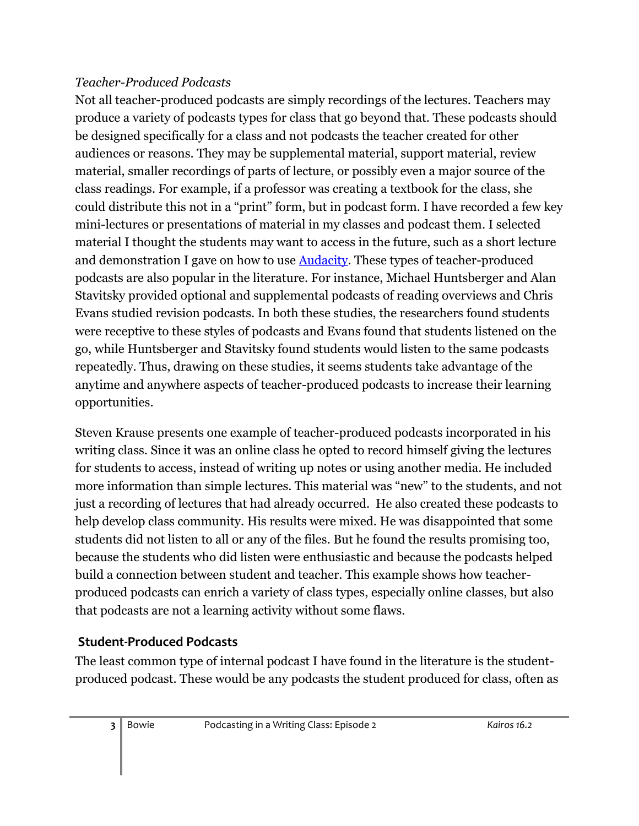### *Teacher-Produced Podcasts*

Not all teacher-produced podcasts are simply recordings of the lectures. Teachers may produce a variety of podcasts types for class that go beyond that. These podcasts should be designed specifically for a class and not podcasts the teacher created for other audiences or reasons. They may be supplemental material, support material, review material, smaller recordings of parts of lecture, or possibly even a major source of the class readings. For example, if a professor was creating a textbook for the class, she could distribute this not in a "print" form, but in podcast form. I have recorded a few key mini-lectures or presentations of material in my classes and podcast them. I selected material I thought the students may want to access in the future, such as a short lecture and demonstration I gave on how to use [Audacity.](http://audacity.sourceforge.net/) These types of teacher-produced podcasts are also popular in the literature. For instance, Michael Huntsberger and Alan Stavitsky provided optional and supplemental podcasts of reading overviews and Chris Evans studied revision podcasts. In both these studies, the researchers found students were receptive to these styles of podcasts and Evans found that students listened on the go, while Huntsberger and Stavitsky found students would listen to the same podcasts repeatedly. Thus, drawing on these studies, it seems students take advantage of the anytime and anywhere aspects of teacher-produced podcasts to increase their learning opportunities.

Steven Krause presents one example of teacher-produced podcasts incorporated in his writing class. Since it was an online class he opted to record himself giving the lectures for students to access, instead of writing up notes or using another media. He included more information than simple lectures. This material was "new" to the students, and not just a recording of lectures that had already occurred. He also created these podcasts to help develop class community. His results were mixed. He was disappointed that some students did not listen to all or any of the files. But he found the results promising too, because the students who did listen were enthusiastic and because the podcasts helped build a connection between student and teacher. This example shows how teacherproduced podcasts can enrich a variety of class types, especially online classes, but also that podcasts are not a learning activity without some flaws.

### **Student-Produced Podcasts**

The least common type of internal podcast I have found in the literature is the studentproduced podcast. These would be any podcasts the student produced for class, often as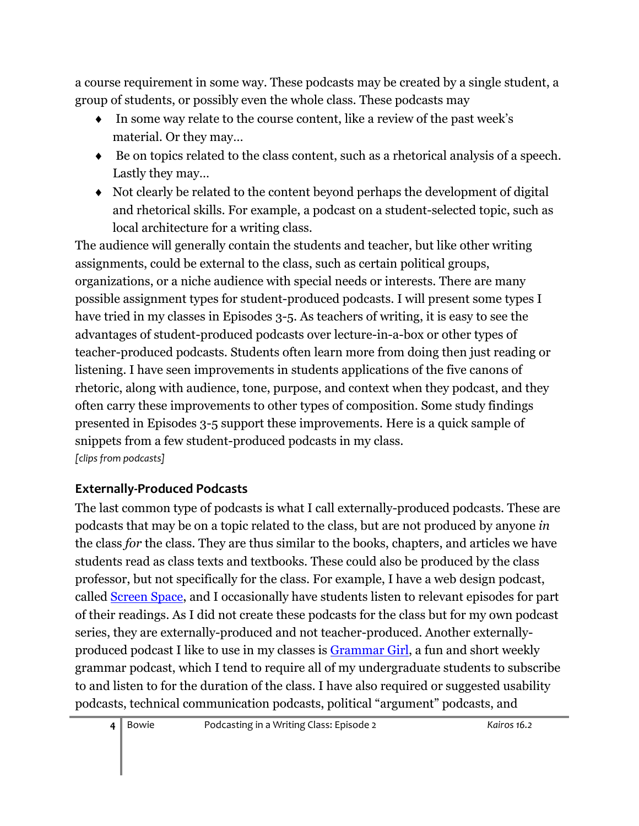a course requirement in some way. These podcasts may be created by a single student, a group of students, or possibly even the whole class. These podcasts may

- In some way relate to the course content, like a review of the past week's material. Or they may…
- $\bullet$  Be on topics related to the class content, such as a rhetorical analysis of a speech. Lastly they may…
- Not clearly be related to the content beyond perhaps the development of digital and rhetorical skills. For example, a podcast on a student-selected topic, such as local architecture for a writing class.

The audience will generally contain the students and teacher, but like other writing assignments, could be external to the class, such as certain political groups, organizations, or a niche audience with special needs or interests. There are many possible assignment types for student-produced podcasts. I will present some types I have tried in my classes in Episodes 3-5. As teachers of writing, it is easy to see the advantages of student-produced podcasts over lecture-in-a-box or other types of teacher-produced podcasts. Students often learn more from doing then just reading or listening. I have seen improvements in students applications of the five canons of rhetoric, along with audience, tone, purpose, and context when they podcast, and they often carry these improvements to other types of composition. Some study findings presented in Episodes 3-5 support these improvements. Here is a quick sample of snippets from a few student-produced podcasts in my class. *[clips from podcasts]* 

### **Externally-Produced Podcasts**

The last common type of podcasts is what I call externally-produced podcasts. These are podcasts that may be on a topic related to the class, but are not produced by anyone *in* the class *for* the class. They are thus similar to the books, chapters, and articles we have students read as class texts and textbooks. These could also be produced by the class professor, but not specifically for the class. For example, I have a web design podcast, called [Screen Space,](http://www.screenspace.org/) and I occasionally have students listen to relevant episodes for part of their readings. As I did not create these podcasts for the class but for my own podcast series, they are externally-produced and not teacher-produced. Another externallyproduced podcast I like to use in my classes is [Grammar Girl,](http://grammar.quickanddirtytips.com/) a fun and short weekly grammar podcast, which I tend to require all of my undergraduate students to subscribe to and listen to for the duration of the class. I have also required or suggested usability podcasts, technical communication podcasts, political "argument" podcasts, and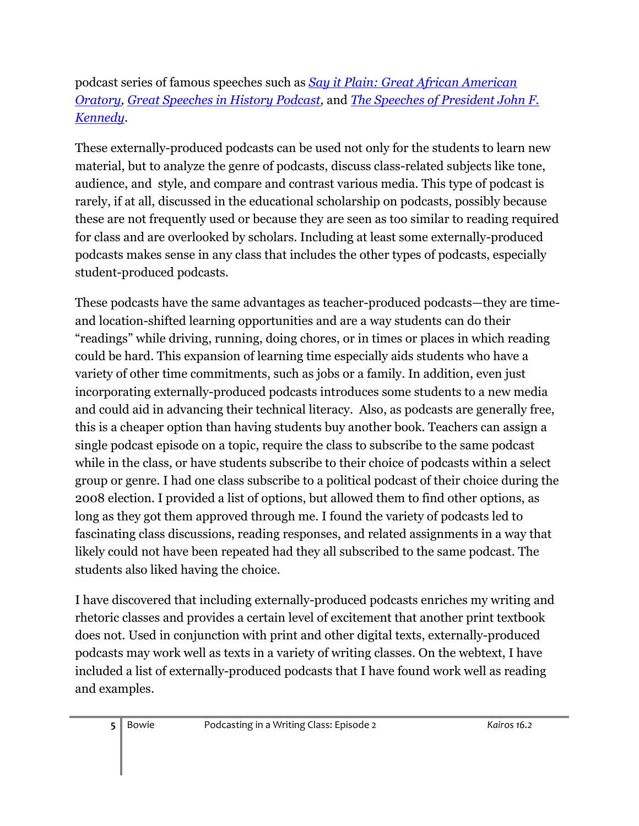### podcast series of famous speeches such as *[Say it Plain: Great African American](http://soundlearning.publicradio.org/subjects/history_civics/say_it_plain/)  [Oratory,](http://soundlearning.publicradio.org/subjects/history_civics/say_it_plain/) [Great Speeches in History Podcast,](http://www.learnoutloud.com/Catalog/History/Speeches/Great-Speeches-in-History-Podcast/21306)* and *[The Speeches of President John F.](http://jfkspeeches.podomatic.com/)  [Kennedy](http://jfkspeeches.podomatic.com/)*.

These externally-produced podcasts can be used not only for the students to learn new material, but to analyze the genre of podcasts, discuss class-related subjects like tone, audience, and style, and compare and contrast various media. This type of podcast is rarely, if at all, discussed in the educational scholarship on podcasts, possibly because these are not frequently used or because they are seen as too similar to reading required for class and are overlooked by scholars. Including at least some externally-produced podcasts makes sense in any class that includes the other types of podcasts, especially student-produced podcasts.

These podcasts have the same advantages as teacher-produced podcasts—they are timeand location-shifted learning opportunities and are a way students can do their "readings" while driving, running, doing chores, or in times or places in which reading could be hard. This expansion of learning time especially aids students who have a variety of other time commitments, such as jobs or a family. In addition, even just incorporating externally-produced podcasts introduces some students to a new media and could aid in advancing their technical literacy. Also, as podcasts are generally free, this is a cheaper option than having students buy another book. Teachers can assign a single podcast episode on a topic, require the class to subscribe to the same podcast while in the class, or have students subscribe to their choice of podcasts within a select group or genre. I had one class subscribe to a political podcast of their choice during the 2008 election. I provided a list of options, but allowed them to find other options, as long as they got them approved through me. I found the variety of podcasts led to fascinating class discussions, reading responses, and related assignments in a way that likely could not have been repeated had they all subscribed to the same podcast. The students also liked having the choice.

I have discovered that including externally-produced podcasts enriches my writing and rhetoric classes and provides a certain level of excitement that another print textbook does not. Used in conjunction with print and other digital texts, externally-produced podcasts may work well as texts in a variety of writing classes. On the webtext, I have included a list of externally-produced podcasts that I have found work well as reading and examples.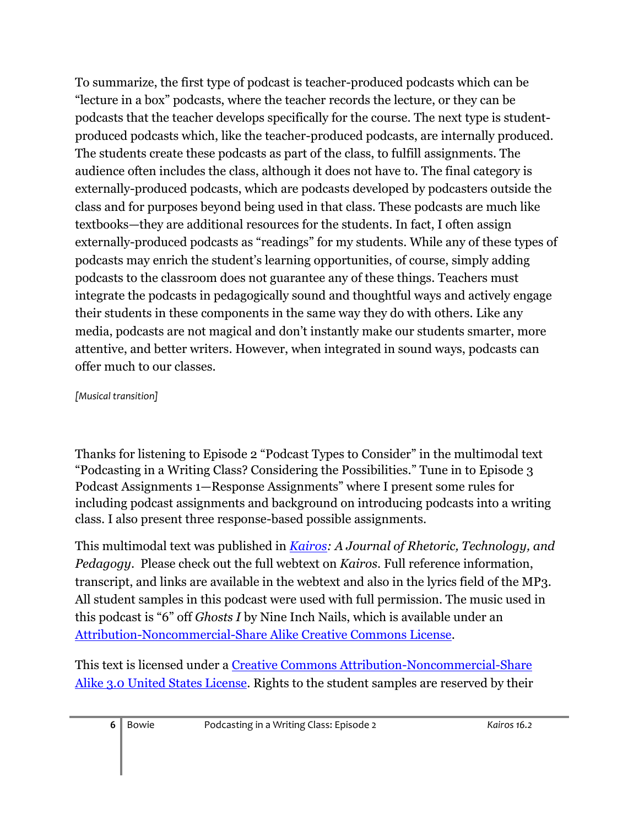To summarize, the first type of podcast is teacher-produced podcasts which can be "lecture in a box" podcasts, where the teacher records the lecture, or they can be podcasts that the teacher develops specifically for the course. The next type is studentproduced podcasts which, like the teacher-produced podcasts, are internally produced. The students create these podcasts as part of the class, to fulfill assignments. The audience often includes the class, although it does not have to. The final category is externally-produced podcasts, which are podcasts developed by podcasters outside the class and for purposes beyond being used in that class. These podcasts are much like textbooks—they are additional resources for the students. In fact, I often assign externally-produced podcasts as "readings" for my students. While any of these types of podcasts may enrich the student's learning opportunities, of course, simply adding podcasts to the classroom does not guarantee any of these things. Teachers must integrate the podcasts in pedagogically sound and thoughtful ways and actively engage their students in these components in the same way they do with others. Like any media, podcasts are not magical and don't instantly make our students smarter, more attentive, and better writers. However, when integrated in sound ways, podcasts can offer much to our classes.

#### *[Musical transition]*

Thanks for listening to Episode 2 "Podcast Types to Consider" in the multimodal text "Podcasting in a Writing Class? Considering the Possibilities." Tune in to Episode 3 Podcast Assignments 1—Response Assignments" where I present some rules for including podcast assignments and background on introducing podcasts into a writing class. I also present three response-based possible assignments.

This multimodal text was published in *[Kairos:](http://kairos.technorhetoric.net/) A Journal of Rhetoric, Technology, and Pedagogy*. Please check out the full webtext on *Kairos*. Full reference information, transcript, and links are available in the webtext and also in the lyrics field of the MP3. All student samples in this podcast were used with full permission. The music used in this podcast is "6" off *Ghosts I* by Nine Inch Nails, which is available under an [Attribution-Noncommercial-Share Alike Creative Commons License.](http://creativecommons.org/licenses/by-nc-sa/3.0/us/)

This text is licensed under a [Creative Commons Attribution-Noncommercial-Share](file:///C:/Documents%20and%20Settings/HP_Administrator/Local%20Settings/Temp/href=%22http:/creativecommons.org/licenses/by-nc-sa/3.0/us/)  [Alike 3.0 United States License.](file:///C:/Documents%20and%20Settings/HP_Administrator/Local%20Settings/Temp/href=%22http:/creativecommons.org/licenses/by-nc-sa/3.0/us/) Rights to the student samples are reserved by their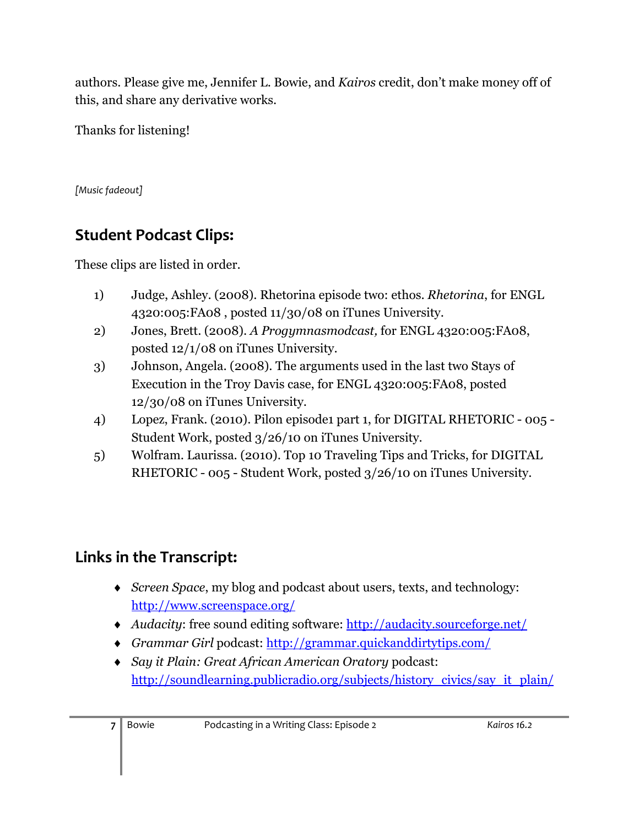authors. Please give me, Jennifer L. Bowie, and *Kairos* credit, don't make money off of this, and share any derivative works.

Thanks for listening!

*[Music fadeout]* 

## **Student Podcast Clips:**

These clips are listed in order.

- 1) Judge, Ashley. (2008). Rhetorina episode two: ethos. *Rhetorina*, for ENGL 4320:005:FA08 , posted 11/30/08 on iTunes University.
- 2) Jones, Brett. (2008). *A Progymnasmodcast,* for ENGL 4320:005:FA08, posted 12/1/08 on iTunes University.
- 3) Johnson, Angela. (2008). The arguments used in the last two Stays of Execution in the Troy Davis case, for ENGL 4320:005:FA08, posted 12/30/08 on iTunes University.
- 4) Lopez, Frank. (2010). Pilon episode1 part 1, for DIGITAL RHETORIC 005 Student Work, posted 3/26/10 on iTunes University.
- 5) Wolfram. Laurissa. (2010). Top 10 Traveling Tips and Tricks, for DIGITAL RHETORIC - 005 - Student Work, posted 3/26/10 on iTunes University.

## **Links in the Transcript:**

- *[Screen Space](http://www.screenspace.org/)*, my blog and podcast about users, texts, and technology: <http://www.screenspace.org/>
- *Audacity*: free sound editing software:<http://audacity.sourceforge.net/>
- *Grammar Girl* podcast:<http://grammar.quickanddirtytips.com/>
- *Say it Plain: Great African American Oratory* podcast: [http://soundlearning.publicradio.org/subjects/history\\_civics/say\\_it\\_plain/](http://soundlearning.publicradio.org/subjects/history_civics/say_it_plain/)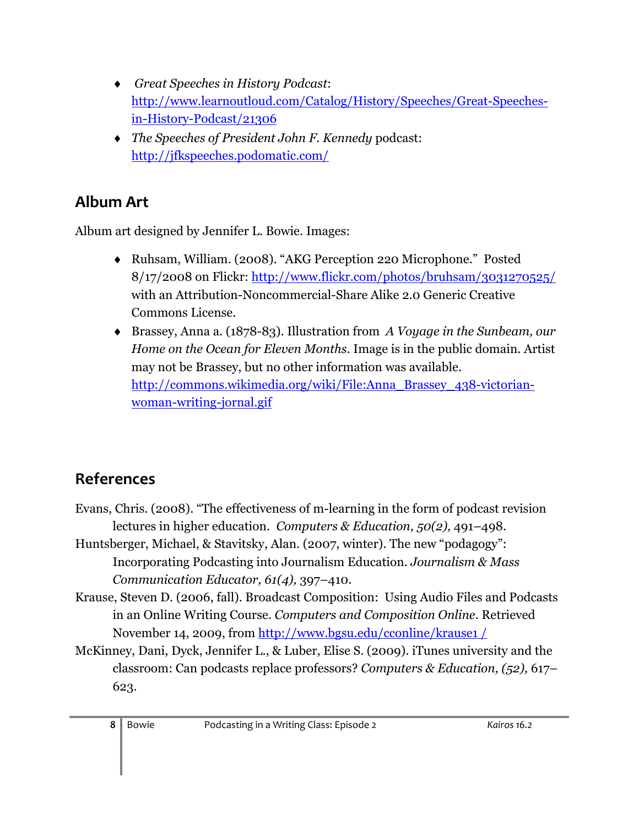- *Great Speeches in History Podcast*: [http://www.learnoutloud.com/Catalog/History/Speeches/Great-Speeches](http://www.learnoutloud.com/Catalog/History/Speeches/Great-Speeches-in-History-Podcast/21306)[in-History-Podcast/21306](http://www.learnoutloud.com/Catalog/History/Speeches/Great-Speeches-in-History-Podcast/21306)
- *The Speeches of President John F. Kennedy* podcast: <http://jfkspeeches.podomatic.com/>

# **Album Art**

Album art designed by Jennifer L. Bowie. Images:

- Ruhsam, William. (2008). "AKG Perception 220 Microphone." Posted 8/17/2008 on Flickr:<http://www.flickr.com/photos/bruhsam/3031270525/> with an Attribution-Noncommercial-Share Alike 2.0 Generic Creative Commons License.
- Brassey, Anna a. (1878-83). Illustration from *A Voyage in the Sunbeam, our Home on the Ocean for Eleven Months*. Image is in the public domain. Artist may not be Brassey, but no other information was available. [http://commons.wikimedia.org/wiki/File:Anna\\_Brassey\\_438-victorian](http://commons.wikimedia.org/wiki/File:Anna_Brassey_438-victorian-woman-writing-jornal.gif)[woman-writing-jornal.gif](http://commons.wikimedia.org/wiki/File:Anna_Brassey_438-victorian-woman-writing-jornal.gif)

# **References**

- Evans, Chris. (2008). "The effectiveness of m-learning in the form of podcast revision lectures in higher education. *Computers & Education*, *50(2),* 491–498.
- Huntsberger, Michael, & Stavitsky, Alan. (2007, winter). The new "podagogy": Incorporating Podcasting into Journalism Education. *Journalism & Mass Communication Educator, 61(4),* 397–410.
- Krause, Steven D. (2006, fall). Broadcast Composition: Using Audio Files and Podcasts in an Online Writing Course. *Computers and Composition Online*. Retrieved November 14, 2009, from [http://www.bgsu.edu/cconline/krause1 /](http://www.bgsu.edu/cconline/krause1%20/)
- McKinney, Dani, Dyck, Jennifer L., & Luber, Elise S. (2009). iTunes university and the classroom: Can podcasts replace professors? *Computers & Education, (52),* 617– 623.